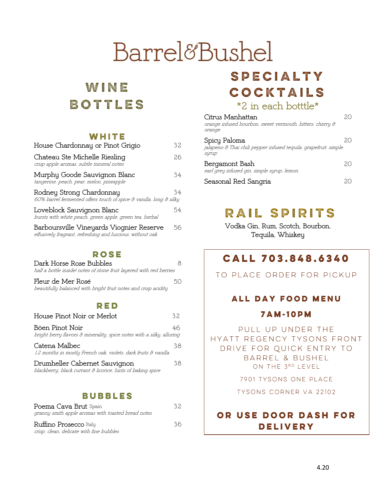# Barrel&Bushel

# WINE BOTTLES

#### WHITE

| House Chardonnay or Pinot Grigio                                                                      | 32  |
|-------------------------------------------------------------------------------------------------------|-----|
| Chateau Ste Michelle Riesling<br>crisp apple aromas, subtle mineral notes                             | 26. |
| Murphy Goode Sauvignon Blanc<br>tangerine, peach, pear, melon, pineapple                              | 34  |
| Rodney Strong Chardonnay<br>60% barrel fermented offers touch of spice & vanilla, long & silky        | 34  |
| Loveblock Sauvignon Blanc<br>bursts with white peach, green apple, green tea, herbal                  | 54  |
| Barboursville Vineyards Viognier Reserve<br>effusively fragrant, refreshing and luscious, without oak | 56  |

#### **ROSE**

| Dark Horse Rose Bubbles                                             |    |
|---------------------------------------------------------------------|----|
| half a bottle inside! notes of stone fruit layered with red berries |    |
| Fleur de Mer Rosé                                                   | 50 |
| beautifully balanced with bright fruit notes and crisp acidity      |    |

#### RED

| House Pinot Noir or Merlot                                                                   | ふ  |
|----------------------------------------------------------------------------------------------|----|
| Böen Pinot Noir<br>bright berry flavors & minerality, spice notes with a silky, alluring     | 46 |
| Catena Malbec<br>12 months in mostly French oak, violets, dark fruits & vanilla              | 38 |
| Drumheller Cabernet Sauvignon<br>blackberry, black currant & licorice, hints of baking spice | 38 |

#### **BUBBLES**

| <b>Poema Cava Brut</b> Spain<br>granny smith apple aromas with toasted bread notes | 32. |
|------------------------------------------------------------------------------------|-----|
| Ruffino Prosecco Italy<br>crisp, clean, delicate with fine bubbles                 | 36. |

### SPECIALTY COCKTAILS \*2 in each botttle\*

| Citrus Manhattan<br>orange infused bourbon, sweet vermouth, bitters, cherry &<br>orange   |  |
|-------------------------------------------------------------------------------------------|--|
| Spicy Paloma<br>jalapeno & Thai chili pepper infused tequila, grapefruit, simple<br>syrup |  |
| Bergamont Bash<br>earl grey infused gin, simple syrup, lemon                              |  |
| Seasonal Red Sangria                                                                      |  |

# RAIL SPIRITS

Vodka Gin, Rum, Scotch, Bourbon, Tequila, Whiskey

### CALL 703.848.6340

TO PLACE ORDER FOR PICKUP

#### ALL DAY FOOD MENU

#### **7AM-10PM**

PULL UP UNDER THE HYATT REGENCY TYSONS FRONT DRIVE FOR QUICK ENTRY TO BARREL & BUSHEL ON THE 3RD LEVEL

7901 TYSONS ONE PLACE

TYSONS CORNER VA 22102

### OR USE DOOR DASH FOR **DELIVERY**